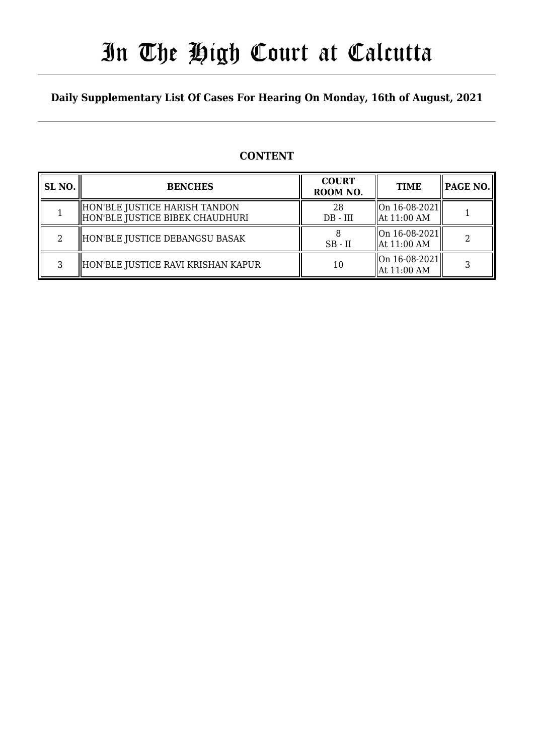# In The High Court at Calcutta

### **Daily Supplementary List Of Cases For Hearing On Monday, 16th of August, 2021**

### **CONTENT**

| SL <sub>NO.</sub> | <b>BENCHES</b>                                                   | <b>COURT</b><br>ROOM NO. | <b>TIME</b>                              | <b>PAGE NO.</b> |
|-------------------|------------------------------------------------------------------|--------------------------|------------------------------------------|-----------------|
|                   | HON'BLE JUSTICE HARISH TANDON<br>HON'BLE JUSTICE BIBEK CHAUDHURI | 28<br>$DB$ - $III$       | On 16-08-2021  <br>  At 11:00 AM         |                 |
| 2                 | HON'BLE JUSTICE DEBANGSU BASAK                                   | $SB$ - $II$              | $\ $ On 16-08-2021<br>  At 11:00 AM      |                 |
| 3                 | HON'BLE JUSTICE RAVI KRISHAN KAPUR                               | 10                       | $\ $ On 16-08-2021 $\ $<br>  At 11:00 AM |                 |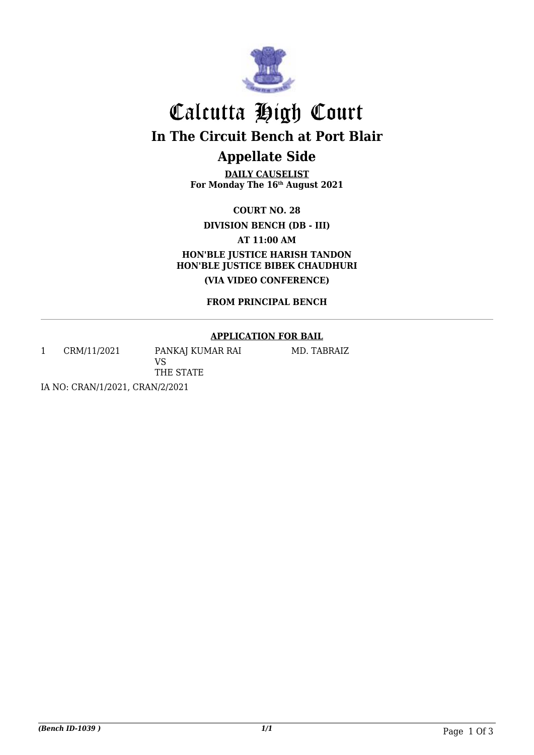

# Calcutta High Court **In The Circuit Bench at Port Blair Appellate Side**

**DAILY CAUSELIST For Monday The 16th August 2021**

**COURT NO. 28**

**DIVISION BENCH (DB - III)**

**AT 11:00 AM**

**HON'BLE JUSTICE HARISH TANDON HON'BLE JUSTICE BIBEK CHAUDHURI (VIA VIDEO CONFERENCE)**

**FROM PRINCIPAL BENCH**

#### **APPLICATION FOR BAIL**

1 CRM/11/2021 PANKAJ KUMAR RAI

MD. TABRAIZ

IA NO: CRAN/1/2021, CRAN/2/2021

VS

THE STATE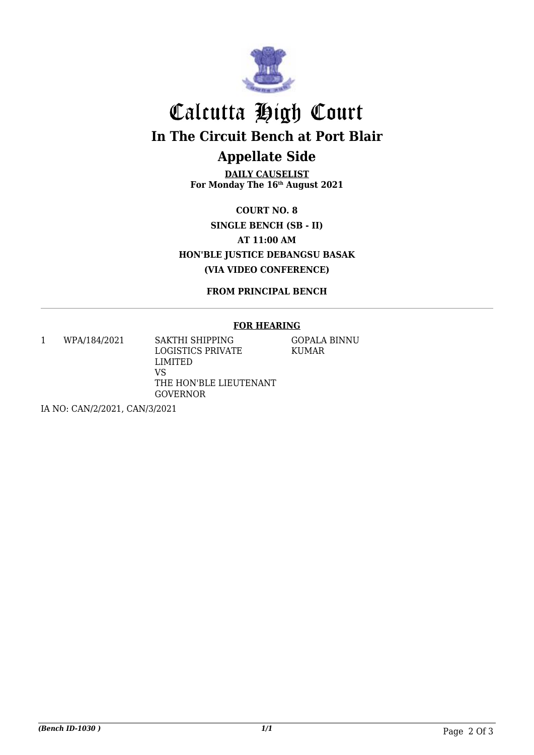

### Calcutta High Court **In The Circuit Bench at Port Blair Appellate Side**

**DAILY CAUSELIST For Monday The 16th August 2021**

**COURT NO. 8 SINGLE BENCH (SB - II) AT 11:00 AM HON'BLE JUSTICE DEBANGSU BASAK (VIA VIDEO CONFERENCE)**

**FROM PRINCIPAL BENCH**

#### **FOR HEARING**

1 WPA/184/2021 SAKTHI SHIPPING

LOGISTICS PRIVATE LIMITED VS THE HON'BLE LIEUTENANT GOVERNOR

GOPALA BINNU KUMAR

IA NO: CAN/2/2021, CAN/3/2021